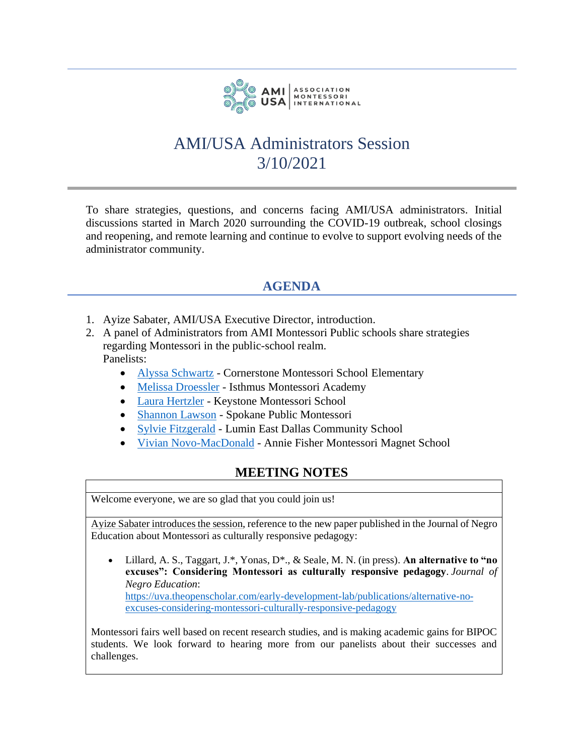

## AMI/USA Administrators Session 3/10/2021

To share strategies, questions, and concerns facing AMI/USA administrators. Initial discussions started in March 2020 surrounding the COVID-19 outbreak, school closings and reopening, and remote learning and continue to evolve to support evolving needs of the administrator community.

## **AGENDA**

- 1. Ayize Sabater, AMI/USA Executive Director, introduction.
- 2. A panel of Administrators from AMI Montessori Public schools share strategies regarding Montessori in the public-school realm. Panelists:
	- [Alyssa Schwartz](mailto:alyssa@mtcm.org) Cornerstone Montessori School Elementary
	- [Melissa Droessler](mailto:administration@isthmusmontessoriacademy.org) Isthmus Montessori Academy
	- [Laura Hertzler](mailto:laura@keystonemontessori.com) Keystone Montessori School
	- [Shannon Lawson](mailto:shannonla@spokaneschools.org) Spokane Public Montessori
	- [Sylvie Fitzgerald](mailto:sylvie.fitzgerald@lumineducation.org) Lumin East Dallas Community School
	- [Vivian Novo-MacDonald](mailto:novov001@hartfordschools.org) Annie Fisher Montessori Magnet School

## **MEETING NOTES**

Welcome everyone, we are so glad that you could join us!

Ayize Sabater introduces the session, reference to the new paper published in the Journal of Negro Education about Montessori as culturally responsive pedagogy:

• Lillard, A. S., Taggart, J.\*, Yonas, D\*., & Seale, M. N. (in press). **An alternative to "no excuses": Considering Montessori as culturally responsive pedagogy**. *Journal of Negro Education*: [https://uva.theopenscholar.com/early-development-lab/publications/alternative-no-](https://uva.theopenscholar.com/early-development-lab/publications/alternative-no-excuses-considering-montessori-culturally-responsive-pedagogy)

[excuses-considering-montessori-culturally-responsive-pedagogy](https://uva.theopenscholar.com/early-development-lab/publications/alternative-no-excuses-considering-montessori-culturally-responsive-pedagogy)

Montessori fairs well based on recent research studies, and is making academic gains for BIPOC students. We look forward to hearing more from our panelists about their successes and challenges.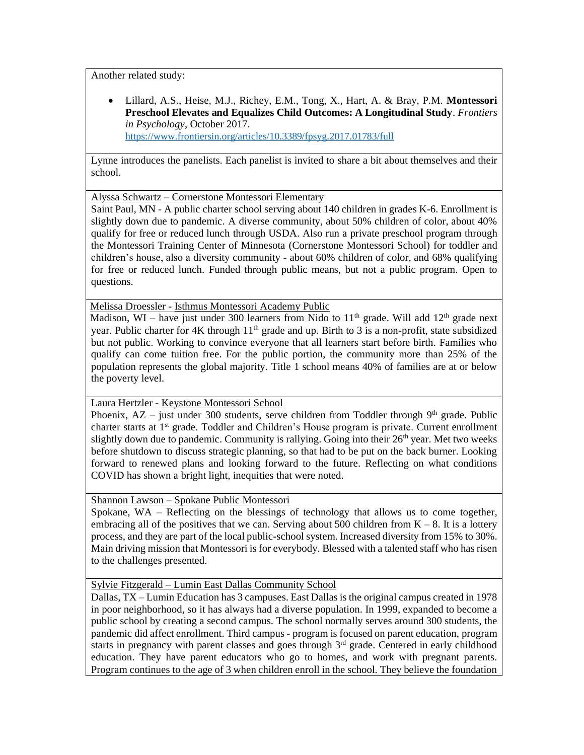Another related study:

• Lillard, A.S., Heise, M.J., Richey, E.M., Tong, X., Hart, A. & Bray, P.M. **Montessori Preschool Elevates and Equalizes Child Outcomes: A Longitudinal Study**. *Frontiers in Psychology*, October 2017. <https://www.frontiersin.org/articles/10.3389/fpsyg.2017.01783/full>

Lynne introduces the panelists. Each panelist is invited to share a bit about themselves and their school.

Alyssa Schwartz – Cornerstone Montessori Elementary

Saint Paul, MN - A public charter school serving about 140 children in grades K-6. Enrollment is slightly down due to pandemic. A diverse community, about 50% children of color, about 40% qualify for free or reduced lunch through USDA. Also run a private preschool program through the Montessori Training Center of Minnesota (Cornerstone Montessori School) for toddler and children's house, also a diversity community - about 60% children of color, and 68% qualifying for free or reduced lunch. Funded through public means, but not a public program. Open to questions.

Melissa Droessler - Isthmus Montessori Academy Public

Madison, WI – have just under 300 learners from Nido to  $11<sup>th</sup>$  grade. Will add  $12<sup>th</sup>$  grade next year. Public charter for  $4K$  through  $11<sup>th</sup>$  grade and up. Birth to 3 is a non-profit, state subsidized but not public. Working to convince everyone that all learners start before birth. Families who qualify can come tuition free. For the public portion, the community more than 25% of the population represents the global majority. Title 1 school means 40% of families are at or below the poverty level.

Laura Hertzler - Keystone Montessori School

Phoenix,  $AZ -$  just under 300 students, serve children from Toddler through 9<sup>th</sup> grade. Public charter starts at 1<sup>st</sup> grade. Toddler and Children's House program is private. Current enrollment slightly down due to pandemic. Community is rallying. Going into their 26<sup>th</sup> year. Met two weeks before shutdown to discuss strategic planning, so that had to be put on the back burner. Looking forward to renewed plans and looking forward to the future. Reflecting on what conditions COVID has shown a bright light, inequities that were noted.

Shannon Lawson – Spokane Public Montessori

Spokane, WA – Reflecting on the blessings of technology that allows us to come together, embracing all of the positives that we can. Serving about 500 children from  $K - 8$ . It is a lottery process, and they are part of the local public-school system. Increased diversity from 15% to 30%. Main driving mission that Montessori is for everybody. Blessed with a talented staff who has risen to the challenges presented.

Sylvie Fitzgerald – Lumin East Dallas Community School

Dallas, TX – Lumin Education has 3 campuses. East Dallas is the original campus created in 1978 in poor neighborhood, so it has always had a diverse population. In 1999, expanded to become a public school by creating a second campus. The school normally serves around 300 students, the pandemic did affect enrollment. Third campus - program is focused on parent education, program starts in pregnancy with parent classes and goes through 3<sup>rd</sup> grade. Centered in early childhood education. They have parent educators who go to homes, and work with pregnant parents. Program continues to the age of 3 when children enroll in the school. They believe the foundation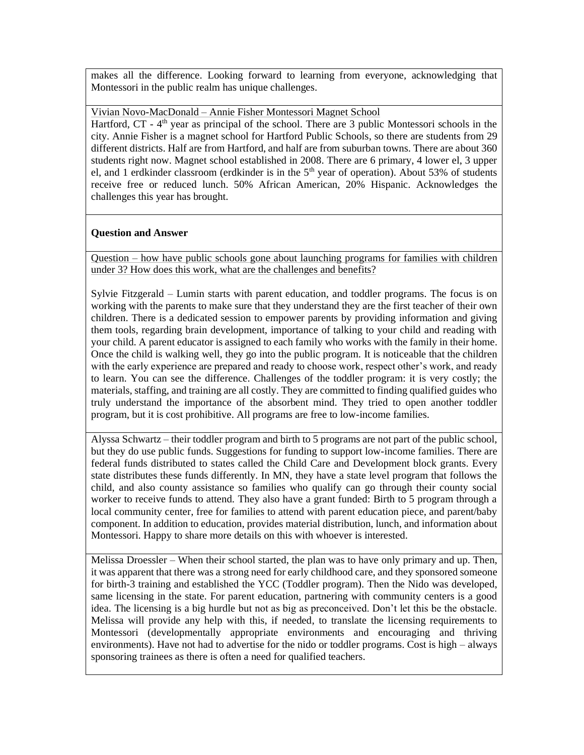makes all the difference. Looking forward to learning from everyone, acknowledging that Montessori in the public realm has unique challenges.

Vivian Novo-MacDonald – Annie Fisher Montessori Magnet School Hartford, CT - 4<sup>th</sup> year as principal of the school. There are 3 public Montessori schools in the city. Annie Fisher is a magnet school for Hartford Public Schools, so there are students from 29 different districts. Half are from Hartford, and half are from suburban towns. There are about 360 students right now. Magnet school established in 2008. There are 6 primary, 4 lower el, 3 upper el, and 1 erdkinder classroom (erdkinder is in the 5<sup>th</sup> year of operation). About 53% of students receive free or reduced lunch. 50% African American, 20% Hispanic. Acknowledges the challenges this year has brought.

## **Question and Answer**

Question – how have public schools gone about launching programs for families with children under 3? How does this work, what are the challenges and benefits?

Sylvie Fitzgerald – Lumin starts with parent education, and toddler programs. The focus is on working with the parents to make sure that they understand they are the first teacher of their own children. There is a dedicated session to empower parents by providing information and giving them tools, regarding brain development, importance of talking to your child and reading with your child. A parent educator is assigned to each family who works with the family in their home. Once the child is walking well, they go into the public program. It is noticeable that the children with the early experience are prepared and ready to choose work, respect other's work, and ready to learn. You can see the difference. Challenges of the toddler program: it is very costly; the materials, staffing, and training are all costly. They are committed to finding qualified guides who truly understand the importance of the absorbent mind. They tried to open another toddler program, but it is cost prohibitive. All programs are free to low-income families.

Alyssa Schwartz – their toddler program and birth to 5 programs are not part of the public school, but they do use public funds. Suggestions for funding to support low-income families. There are federal funds distributed to states called the Child Care and Development block grants. Every state distributes these funds differently. In MN, they have a state level program that follows the child, and also county assistance so families who qualify can go through their county social worker to receive funds to attend. They also have a grant funded: Birth to 5 program through a local community center, free for families to attend with parent education piece, and parent/baby component. In addition to education, provides material distribution, lunch, and information about Montessori. Happy to share more details on this with whoever is interested.

Melissa Droessler – When their school started, the plan was to have only primary and up. Then, it was apparent that there was a strong need for early childhood care, and they sponsored someone for birth-3 training and established the YCC (Toddler program). Then the Nido was developed, same licensing in the state. For parent education, partnering with community centers is a good idea. The licensing is a big hurdle but not as big as preconceived. Don't let this be the obstacle. Melissa will provide any help with this, if needed, to translate the licensing requirements to Montessori (developmentally appropriate environments and encouraging and thriving environments). Have not had to advertise for the nido or toddler programs. Cost is high – always sponsoring trainees as there is often a need for qualified teachers.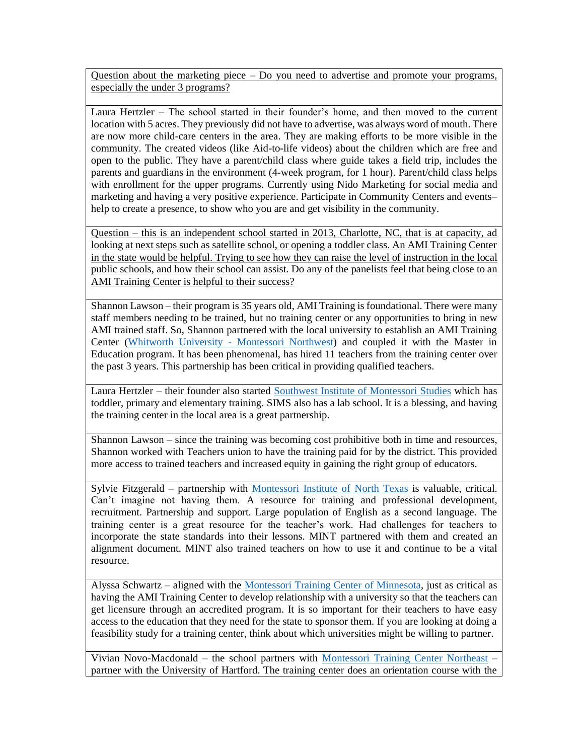Question about the marketing piece – Do you need to advertise and promote your programs, especially the under 3 programs?

Laura Hertzler – The school started in their founder's home, and then moved to the current location with 5 acres. They previously did not have to advertise, was always word of mouth. There are now more child-care centers in the area. They are making efforts to be more visible in the community. The created videos (like Aid-to-life videos) about the children which are free and open to the public. They have a parent/child class where guide takes a field trip, includes the parents and guardians in the environment (4-week program, for 1 hour). Parent/child class helps with enrollment for the upper programs. Currently using Nido Marketing for social media and marketing and having a very positive experience. Participate in Community Centers and events– help to create a presence, to show who you are and get visibility in the community.

Question – this is an independent school started in 2013, Charlotte, NC, that is at capacity, ad looking at next steps such as satellite school, or opening a toddler class. An AMI Training Center in the state would be helpful. Trying to see how they can raise the level of instruction in the local public schools, and how their school can assist. Do any of the panelists feel that being close to an AMI Training Center is helpful to their success?

Shannon Lawson – their program is 35 years old, AMI Training is foundational. There were many staff members needing to be trained, but no training center or any opportunities to bring in new AMI trained staff. So, Shannon partnered with the local university to establish an AMI Training Center [\(Whitworth University -](https://montessori-nw.org/) Montessori Northwest) and coupled it with the Master in Education program. It has been phenomenal, has hired 11 teachers from the training center over the past 3 years. This partnership has been critical in providing qualified teachers.

Laura Hertzler – their founder also started [Southwest Institute of Montessori Studies](https://www.sims-ami.org/) which has toddler, primary and elementary training. SIMS also has a lab school. It is a blessing, and having the training center in the local area is a great partnership.

Shannon Lawson – since the training was becoming cost prohibitive both in time and resources, Shannon worked with Teachers union to have the training paid for by the district. This provided more access to trained teachers and increased equity in gaining the right group of educators.

Sylvie Fitzgerald – partnership with [Montessori Institute of North Texas](https://montessori-mint.org/) is valuable, critical. Can't imagine not having them. A resource for training and professional development, recruitment. Partnership and support. Large population of English as a second language. The training center is a great resource for the teacher's work. Had challenges for teachers to incorporate the state standards into their lessons. MINT partnered with them and created an alignment document. MINT also trained teachers on how to use it and continue to be a vital resource.

Alyssa Schwartz – aligned with the [Montessori Training Center of Minnesota,](https://www.montessoricentermn.org/) just as critical as having the AMI Training Center to develop relationship with a university so that the teachers can get licensure through an accredited program. It is so important for their teachers to have easy access to the education that they need for the state to sponsor them. If you are looking at doing a feasibility study for a training center, think about which universities might be willing to partner.

Vivian Novo-Macdonald – the school partners with [Montessori Training Center Northeast](https://www.mtcne.org/) – partner with the University of Hartford. The training center does an orientation course with the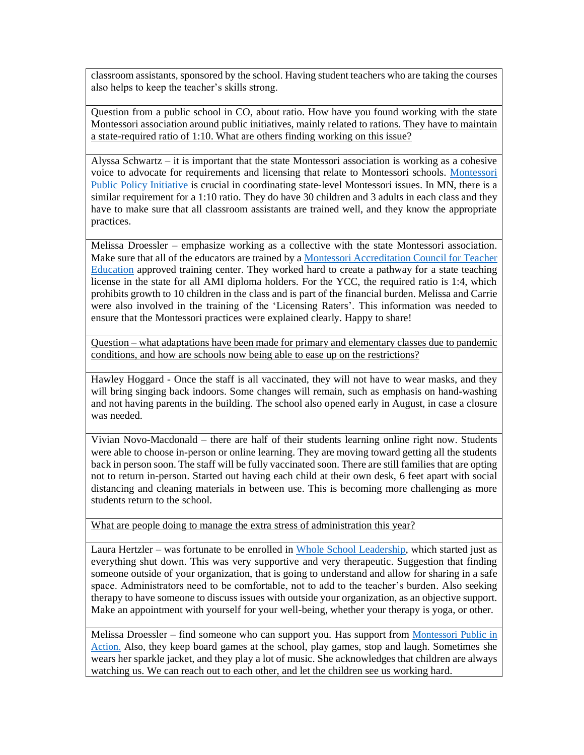classroom assistants, sponsored by the school. Having student teachers who are taking the courses also helps to keep the teacher's skills strong.

Question from a public school in CO, about ratio. How have you found working with the state Montessori association around public initiatives, mainly related to rations. They have to maintain a state-required ratio of 1:10. What are others finding working on this issue?

Alyssa Schwartz – it is important that the state Montessori association is working as a cohesive voice to advocate for requirements and licensing that relate to Montessori schools. [Montessori](https://montessoriadvocacy.org/)  [Public Policy Initiative](https://montessoriadvocacy.org/) is crucial in coordinating state-level Montessori issues. In MN, there is a similar requirement for a 1:10 ratio. They do have 30 children and 3 adults in each class and they have to make sure that all classroom assistants are trained well, and they know the appropriate practices.

Melissa Droessler – emphasize working as a collective with the state Montessori association. Make sure that all of the educators are trained by [a Montessori Accreditation Council for Teacher](https://www.macte.org/)  [Education](https://www.macte.org/) approved training center. They worked hard to create a pathway for a state teaching license in the state for all AMI diploma holders. For the YCC, the required ratio is 1:4, which prohibits growth to 10 children in the class and is part of the financial burden. Melissa and Carrie were also involved in the training of the 'Licensing Raters'. This information was needed to ensure that the Montessori practices were explained clearly. Happy to share!

Question – what adaptations have been made for primary and elementary classes due to pandemic conditions, and how are schools now being able to ease up on the restrictions?

Hawley Hoggard - Once the staff is all vaccinated, they will not have to wear masks, and they will bring singing back indoors. Some changes will remain, such as emphasis on hand-washing and not having parents in the building. The school also opened early in August, in case a closure was needed.

Vivian Novo-Macdonald – there are half of their students learning online right now. Students were able to choose in-person or online learning. They are moving toward getting all the students back in person soon. The staff will be fully vaccinated soon. There are still families that are opting not to return in-person. Started out having each child at their own desk, 6 feet apart with social distancing and cleaning materials in between use. This is becoming more challenging as more students return to the school.

What are people doing to manage the extra stress of administration this year?

Laura Hertzler – was fortunate to be enrolled in [Whole School Leadership,](https://www.wholeschoolleadership.org/) which started just as everything shut down. This was very supportive and very therapeutic. Suggestion that finding someone outside of your organization, that is going to understand and allow for sharing in a safe space. Administrators need to be comfortable, not to add to the teacher's burden. Also seeking therapy to have someone to discuss issues with outside your organization, as an objective support. Make an appointment with yourself for your well-being, whether your therapy is yoga, or other.

Melissa Droessler – find someone who can support you. Has support from [Montessori Public in](https://montessori-action.org/)  [Action.](https://montessori-action.org/) Also, they keep board games at the school, play games, stop and laugh. Sometimes she wears her sparkle jacket, and they play a lot of music. She acknowledges that children are always watching us. We can reach out to each other, and let the children see us working hard.